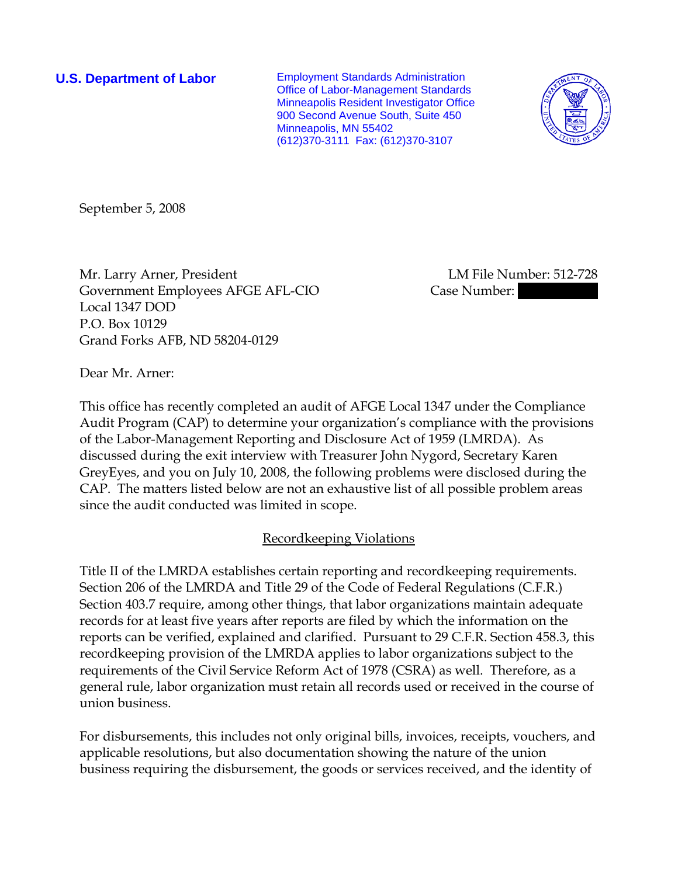**U.S. Department of Labor Employment Standards Administration** Office of Labor-Management Standards Minneapolis Resident Investigator Office 900 Second Avenue South, Suite 450 Minneapolis, MN 55402 (612)370-3111 Fax: (612)370-3107



September 5, 2008

Mr. Larry Arner, President LM File Number: 512-728 Government Employees AFGE AFL-CIO Case Number: Local 1347 DOD P.O. Box 10129 Grand Forks AFB, ND 58204-0129

Dear Mr. Arner:

This office has recently completed an audit of AFGE Local 1347 under the Compliance Audit Program (CAP) to determine your organization's compliance with the provisions of the Labor-Management Reporting and Disclosure Act of 1959 (LMRDA). As discussed during the exit interview with Treasurer John Nygord, Secretary Karen GreyEyes, and you on July 10, 2008, the following problems were disclosed during the CAP. The matters listed below are not an exhaustive list of all possible problem areas since the audit conducted was limited in scope.

## Recordkeeping Violations

Title II of the LMRDA establishes certain reporting and recordkeeping requirements. Section 206 of the LMRDA and Title 29 of the Code of Federal Regulations (C.F.R.) Section 403.7 require, among other things, that labor organizations maintain adequate records for at least five years after reports are filed by which the information on the reports can be verified, explained and clarified. Pursuant to 29 C.F.R. Section 458.3, this recordkeeping provision of the LMRDA applies to labor organizations subject to the requirements of the Civil Service Reform Act of 1978 (CSRA) as well. Therefore, as a general rule, labor organization must retain all records used or received in the course of union business.

For disbursements, this includes not only original bills, invoices, receipts, vouchers, and applicable resolutions, but also documentation showing the nature of the union business requiring the disbursement, the goods or services received, and the identity of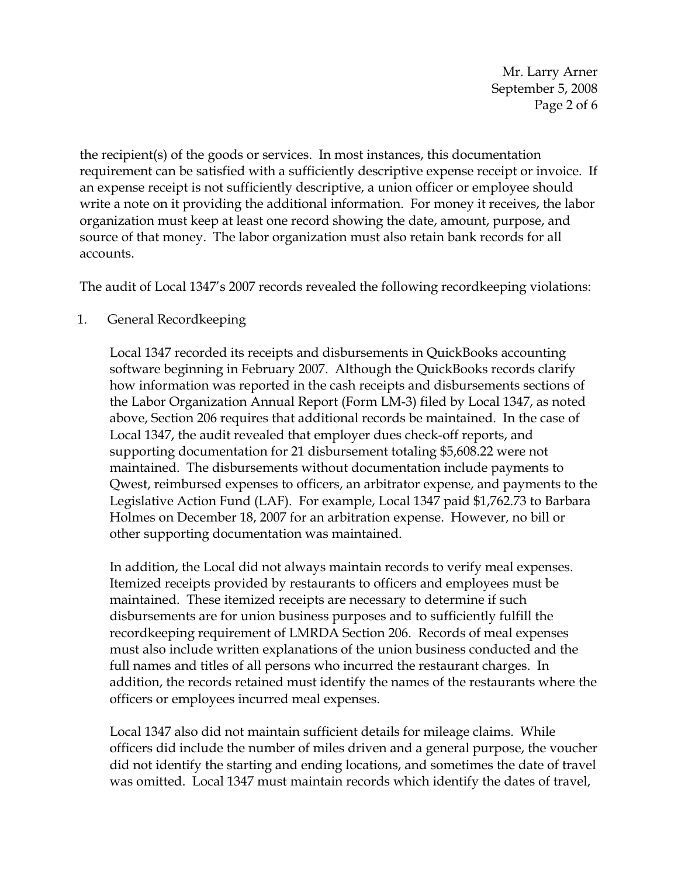Mr. Larry Arner September 5, 2008 Page 2 of 6

the recipient(s) of the goods or services. In most instances, this documentation requirement can be satisfied with a sufficiently descriptive expense receipt or invoice. If an expense receipt is not sufficiently descriptive, a union officer or employee should write a note on it providing the additional information. For money it receives, the labor organization must keep at least one record showing the date, amount, purpose, and source of that money. The labor organization must also retain bank records for all accounts.

The audit of Local 1347's 2007 records revealed the following recordkeeping violations:

## 1. General Recordkeeping

Local 1347 recorded its receipts and disbursements in QuickBooks accounting software beginning in February 2007. Although the QuickBooks records clarify how information was reported in the cash receipts and disbursements sections of the Labor Organization Annual Report (Form LM-3) filed by Local 1347, as noted above, Section 206 requires that additional records be maintained. In the case of Local 1347, the audit revealed that employer dues check-off reports, and supporting documentation for 21 disbursement totaling \$5,608.22 were not maintained. The disbursements without documentation include payments to Qwest, reimbursed expenses to officers, an arbitrator expense, and payments to the Legislative Action Fund (LAF). For example, Local 1347 paid \$1,762.73 to Barbara Holmes on December 18, 2007 for an arbitration expense. However, no bill or other supporting documentation was maintained.

In addition, the Local did not always maintain records to verify meal expenses. Itemized receipts provided by restaurants to officers and employees must be maintained. These itemized receipts are necessary to determine if such disbursements are for union business purposes and to sufficiently fulfill the recordkeeping requirement of LMRDA Section 206. Records of meal expenses must also include written explanations of the union business conducted and the full names and titles of all persons who incurred the restaurant charges. In addition, the records retained must identify the names of the restaurants where the officers or employees incurred meal expenses.

Local 1347 also did not maintain sufficient details for mileage claims. While officers did include the number of miles driven and a general purpose, the voucher did not identify the starting and ending locations, and sometimes the date of travel was omitted. Local 1347 must maintain records which identify the dates of travel,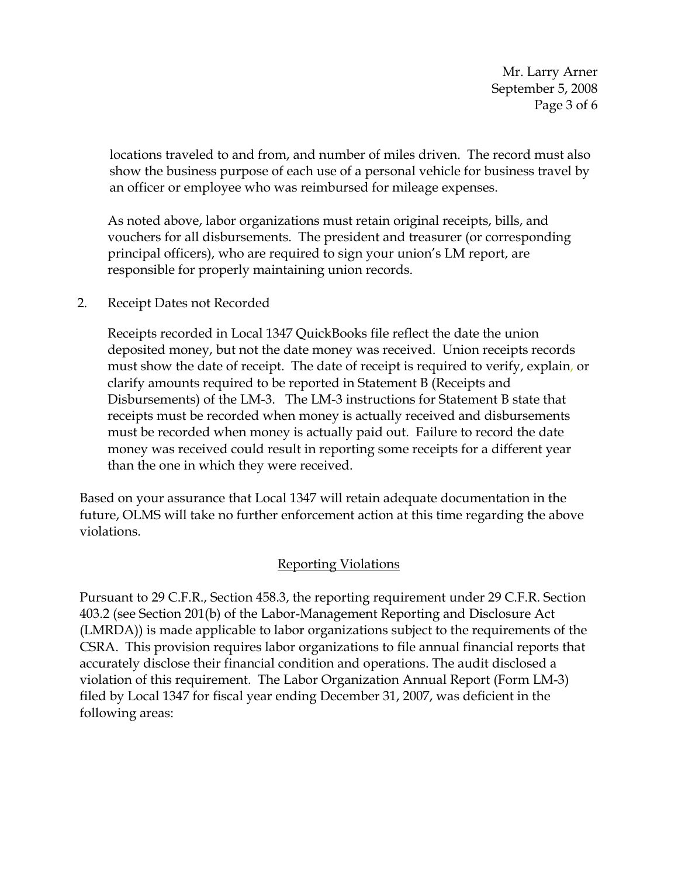Mr. Larry Arner September 5, 2008 Page 3 of 6

locations traveled to and from, and number of miles driven. The record must also show the business purpose of each use of a personal vehicle for business travel by an officer or employee who was reimbursed for mileage expenses.

As noted above, labor organizations must retain original receipts, bills, and vouchers for all disbursements. The president and treasurer (or corresponding principal officers), who are required to sign your union's LM report, are responsible for properly maintaining union records.

2. Receipt Dates not Recorded

Receipts recorded in Local 1347 QuickBooks file reflect the date the union deposited money, but not the date money was received. Union receipts records must show the date of receipt. The date of receipt is required to verify, explain, or clarify amounts required to be reported in Statement B (Receipts and Disbursements) of the LM-3. The LM-3 instructions for Statement B state that receipts must be recorded when money is actually received and disbursements must be recorded when money is actually paid out. Failure to record the date money was received could result in reporting some receipts for a different year than the one in which they were received.

Based on your assurance that Local 1347 will retain adequate documentation in the future, OLMS will take no further enforcement action at this time regarding the above violations.

## Reporting Violations

Pursuant to 29 C.F.R., Section 458.3, the reporting requirement under 29 C.F.R. Section 403.2 (see Section 201(b) of the Labor-Management Reporting and Disclosure Act (LMRDA)) is made applicable to labor organizations subject to the requirements of the CSRA. This provision requires labor organizations to file annual financial reports that accurately disclose their financial condition and operations. The audit disclosed a violation of this requirement. The Labor Organization Annual Report (Form LM-3) filed by Local 1347 for fiscal year ending December 31, 2007, was deficient in the following areas: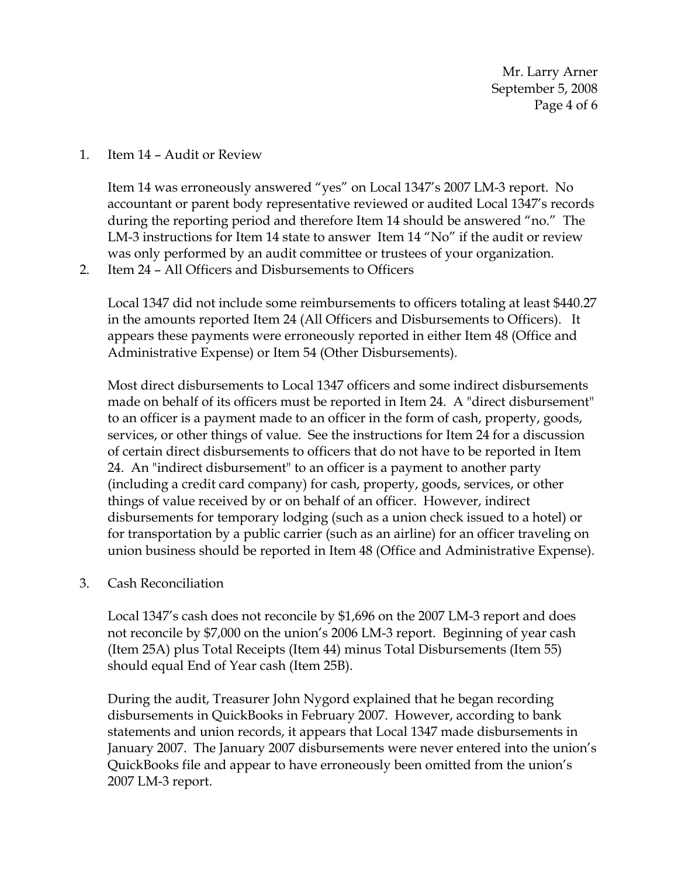Mr. Larry Arner September 5, 2008 Page 4 of 6

1. Item 14 – Audit or Review

Item 14 was erroneously answered "yes" on Local 1347's 2007 LM-3 report. No accountant or parent body representative reviewed or audited Local 1347's records during the reporting period and therefore Item 14 should be answered "no." The LM-3 instructions for Item 14 state to answer Item 14 "No" if the audit or review was only performed by an audit committee or trustees of your organization.

2. Item 24 – All Officers and Disbursements to Officers

Local 1347 did not include some reimbursements to officers totaling at least \$440.27 in the amounts reported Item 24 (All Officers and Disbursements to Officers). It appears these payments were erroneously reported in either Item 48 (Office and Administrative Expense) or Item 54 (Other Disbursements).

Most direct disbursements to Local 1347 officers and some indirect disbursements made on behalf of its officers must be reported in Item 24. A "direct disbursement" to an officer is a payment made to an officer in the form of cash, property, goods, services, or other things of value. See the instructions for Item 24 for a discussion of certain direct disbursements to officers that do not have to be reported in Item 24. An "indirect disbursement" to an officer is a payment to another party (including a credit card company) for cash, property, goods, services, or other things of value received by or on behalf of an officer. However, indirect disbursements for temporary lodging (such as a union check issued to a hotel) or for transportation by a public carrier (such as an airline) for an officer traveling on union business should be reported in Item 48 (Office and Administrative Expense).

3. Cash Reconciliation

Local 1347's cash does not reconcile by \$1,696 on the 2007 LM-3 report and does not reconcile by \$7,000 on the union's 2006 LM-3 report. Beginning of year cash (Item 25A) plus Total Receipts (Item 44) minus Total Disbursements (Item 55) should equal End of Year cash (Item 25B).

During the audit, Treasurer John Nygord explained that he began recording disbursements in QuickBooks in February 2007. However, according to bank statements and union records, it appears that Local 1347 made disbursements in January 2007. The January 2007 disbursements were never entered into the union's QuickBooks file and appear to have erroneously been omitted from the union's 2007 LM-3 report.